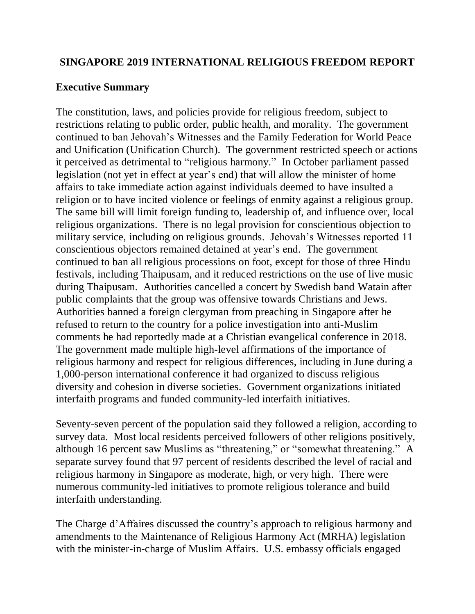## **SINGAPORE 2019 INTERNATIONAL RELIGIOUS FREEDOM REPORT**

### **Executive Summary**

The constitution, laws, and policies provide for religious freedom, subject to restrictions relating to public order, public health, and morality. The government continued to ban Jehovah's Witnesses and the Family Federation for World Peace and Unification (Unification Church). The government restricted speech or actions it perceived as detrimental to "religious harmony." In October parliament passed legislation (not yet in effect at year's end) that will allow the minister of home affairs to take immediate action against individuals deemed to have insulted a religion or to have incited violence or feelings of enmity against a religious group. The same bill will limit foreign funding to, leadership of, and influence over, local religious organizations. There is no legal provision for conscientious objection to military service, including on religious grounds. Jehovah's Witnesses reported 11 conscientious objectors remained detained at year's end. The government continued to ban all religious processions on foot, except for those of three Hindu festivals, including Thaipusam, and it reduced restrictions on the use of live music during Thaipusam. Authorities cancelled a concert by Swedish band Watain after public complaints that the group was offensive towards Christians and Jews. Authorities banned a foreign clergyman from preaching in Singapore after he refused to return to the country for a police investigation into anti-Muslim comments he had reportedly made at a Christian evangelical conference in 2018. The government made multiple high-level affirmations of the importance of religious harmony and respect for religious differences, including in June during a 1,000-person international conference it had organized to discuss religious diversity and cohesion in diverse societies. Government organizations initiated interfaith programs and funded community-led interfaith initiatives.

Seventy-seven percent of the population said they followed a religion, according to survey data. Most local residents perceived followers of other religions positively, although 16 percent saw Muslims as "threatening," or "somewhat threatening." A separate survey found that 97 percent of residents described the level of racial and religious harmony in Singapore as moderate, high, or very high. There were numerous community-led initiatives to promote religious tolerance and build interfaith understanding.

The Charge d'Affaires discussed the country's approach to religious harmony and amendments to the Maintenance of Religious Harmony Act (MRHA) legislation with the minister-in-charge of Muslim Affairs. U.S. embassy officials engaged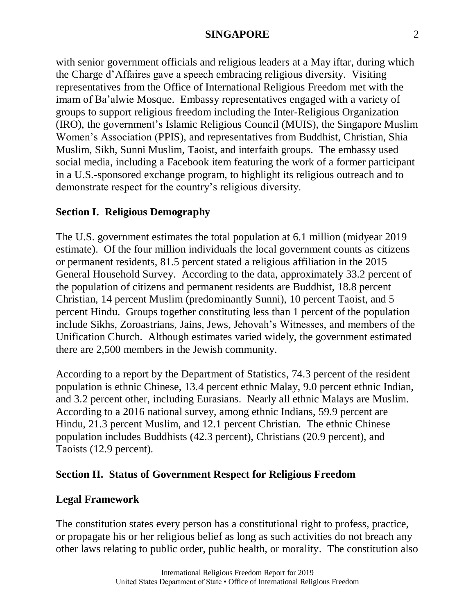with senior government officials and religious leaders at a May iftar, during which the Charge d'Affaires gave a speech embracing religious diversity. Visiting representatives from the Office of International Religious Freedom met with the imam of Ba'alwie Mosque. Embassy representatives engaged with a variety of groups to support religious freedom including the Inter-Religious Organization (IRO), the government's Islamic Religious Council (MUIS), the Singapore Muslim Women's Association (PPIS), and representatives from Buddhist, Christian, Shia Muslim, Sikh, Sunni Muslim, Taoist, and interfaith groups. The embassy used social media, including a Facebook item featuring the work of a former participant in a U.S.-sponsored exchange program, to highlight its religious outreach and to demonstrate respect for the country's religious diversity.

# **Section I. Religious Demography**

The U.S. government estimates the total population at 6.1 million (midyear 2019 estimate). Of the four million individuals the local government counts as citizens or permanent residents, 81.5 percent stated a religious affiliation in the 2015 General Household Survey. According to the data, approximately 33.2 percent of the population of citizens and permanent residents are Buddhist, 18.8 percent Christian, 14 percent Muslim (predominantly Sunni), 10 percent Taoist, and 5 percent Hindu. Groups together constituting less than 1 percent of the population include Sikhs, Zoroastrians, Jains, Jews, Jehovah's Witnesses, and members of the Unification Church. Although estimates varied widely, the government estimated there are 2,500 members in the Jewish community.

According to a report by the Department of Statistics, 74.3 percent of the resident population is ethnic Chinese, 13.4 percent ethnic Malay, 9.0 percent ethnic Indian, and 3.2 percent other, including Eurasians. Nearly all ethnic Malays are Muslim. According to a 2016 national survey, among ethnic Indians, 59.9 percent are Hindu, 21.3 percent Muslim, and 12.1 percent Christian. The ethnic Chinese population includes Buddhists (42.3 percent), Christians (20.9 percent), and Taoists (12.9 percent).

## **Section II. Status of Government Respect for Religious Freedom**

### **Legal Framework**

The constitution states every person has a constitutional right to profess, practice, or propagate his or her religious belief as long as such activities do not breach any other laws relating to public order, public health, or morality. The constitution also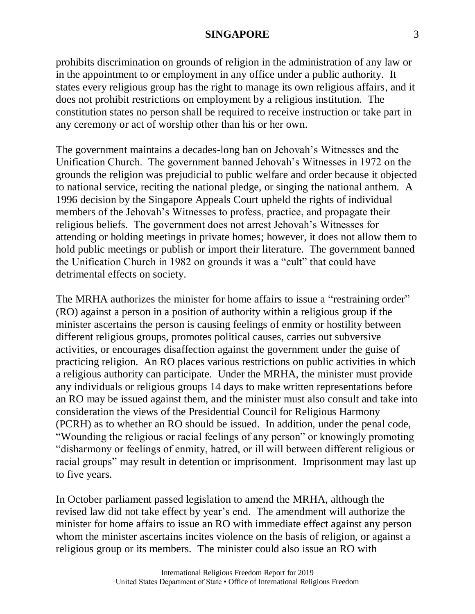prohibits discrimination on grounds of religion in the administration of any law or in the appointment to or employment in any office under a public authority. It states every religious group has the right to manage its own religious affairs, and it does not prohibit restrictions on employment by a religious institution. The constitution states no person shall be required to receive instruction or take part in any ceremony or act of worship other than his or her own.

The government maintains a decades-long ban on Jehovah's Witnesses and the Unification Church. The government banned Jehovah's Witnesses in 1972 on the grounds the religion was prejudicial to public welfare and order because it objected to national service, reciting the national pledge, or singing the national anthem. A 1996 decision by the Singapore Appeals Court upheld the rights of individual members of the Jehovah's Witnesses to profess, practice, and propagate their religious beliefs. The government does not arrest Jehovah's Witnesses for attending or holding meetings in private homes; however, it does not allow them to hold public meetings or publish or import their literature. The government banned the Unification Church in 1982 on grounds it was a "cult" that could have detrimental effects on society.

The MRHA authorizes the minister for home affairs to issue a "restraining order" (RO) against a person in a position of authority within a religious group if the minister ascertains the person is causing feelings of enmity or hostility between different religious groups, promotes political causes, carries out subversive activities, or encourages disaffection against the government under the guise of practicing religion. An RO places various restrictions on public activities in which a religious authority can participate. Under the MRHA, the minister must provide any individuals or religious groups 14 days to make written representations before an RO may be issued against them, and the minister must also consult and take into consideration the views of the Presidential Council for Religious Harmony (PCRH) as to whether an RO should be issued. In addition, under the penal code, "Wounding the religious or racial feelings of any person" or knowingly promoting "disharmony or feelings of enmity, hatred, or ill will between different religious or racial groups" may result in detention or imprisonment. Imprisonment may last up to five years.

In October parliament passed legislation to amend the MRHA, although the revised law did not take effect by year's end. The amendment will authorize the minister for home affairs to issue an RO with immediate effect against any person whom the minister ascertains incites violence on the basis of religion, or against a religious group or its members. The minister could also issue an RO with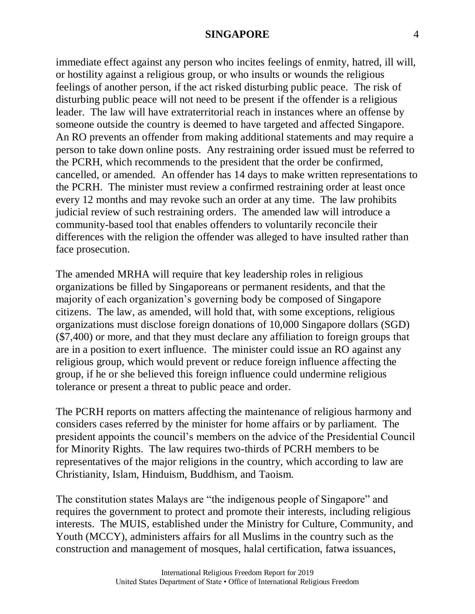immediate effect against any person who incites feelings of enmity, hatred, ill will, or hostility against a religious group, or who insults or wounds the religious feelings of another person, if the act risked disturbing public peace. The risk of disturbing public peace will not need to be present if the offender is a religious leader. The law will have extraterritorial reach in instances where an offense by someone outside the country is deemed to have targeted and affected Singapore. An RO prevents an offender from making additional statements and may require a person to take down online posts. Any restraining order issued must be referred to the PCRH, which recommends to the president that the order be confirmed, cancelled, or amended. An offender has 14 days to make written representations to the PCRH. The minister must review a confirmed restraining order at least once every 12 months and may revoke such an order at any time. The law prohibits judicial review of such restraining orders. The amended law will introduce a community-based tool that enables offenders to voluntarily reconcile their differences with the religion the offender was alleged to have insulted rather than face prosecution.

The amended MRHA will require that key leadership roles in religious organizations be filled by Singaporeans or permanent residents, and that the majority of each organization's governing body be composed of Singapore citizens. The law, as amended, will hold that, with some exceptions, religious organizations must disclose foreign donations of 10,000 Singapore dollars (SGD) (\$7,400) or more, and that they must declare any affiliation to foreign groups that are in a position to exert influence. The minister could issue an RO against any religious group, which would prevent or reduce foreign influence affecting the group, if he or she believed this foreign influence could undermine religious tolerance or present a threat to public peace and order.

The PCRH reports on matters affecting the maintenance of religious harmony and considers cases referred by the minister for home affairs or by parliament. The president appoints the council's members on the advice of the Presidential Council for Minority Rights. The law requires two-thirds of PCRH members to be representatives of the major religions in the country, which according to law are Christianity, Islam, Hinduism, Buddhism, and Taoism.

The constitution states Malays are "the indigenous people of Singapore" and requires the government to protect and promote their interests, including religious interests. The MUIS, established under the Ministry for Culture, Community, and Youth (MCCY), administers affairs for all Muslims in the country such as the construction and management of mosques, halal certification, fatwa issuances,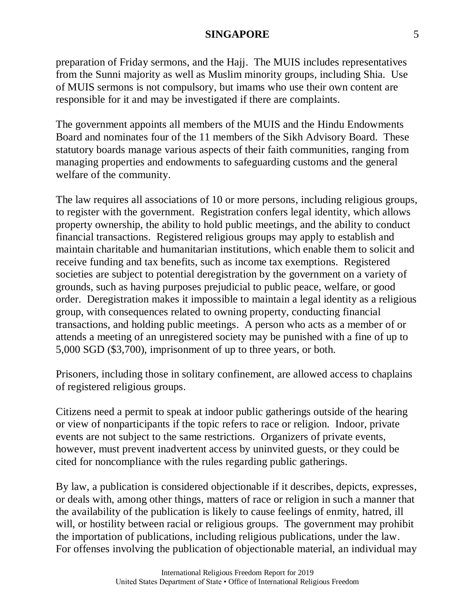preparation of Friday sermons, and the Hajj. The MUIS includes representatives from the Sunni majority as well as Muslim minority groups, including Shia. Use of MUIS sermons is not compulsory, but imams who use their own content are responsible for it and may be investigated if there are complaints.

The government appoints all members of the MUIS and the Hindu Endowments Board and nominates four of the 11 members of the Sikh Advisory Board. These statutory boards manage various aspects of their faith communities, ranging from managing properties and endowments to safeguarding customs and the general welfare of the community.

The law requires all associations of 10 or more persons, including religious groups, to register with the government. Registration confers legal identity, which allows property ownership, the ability to hold public meetings, and the ability to conduct financial transactions. Registered religious groups may apply to establish and maintain charitable and humanitarian institutions, which enable them to solicit and receive funding and tax benefits, such as income tax exemptions. Registered societies are subject to potential deregistration by the government on a variety of grounds, such as having purposes prejudicial to public peace, welfare, or good order. Deregistration makes it impossible to maintain a legal identity as a religious group, with consequences related to owning property, conducting financial transactions, and holding public meetings. A person who acts as a member of or attends a meeting of an unregistered society may be punished with a fine of up to 5,000 SGD (\$3,700), imprisonment of up to three years, or both.

Prisoners, including those in solitary confinement, are allowed access to chaplains of registered religious groups.

Citizens need a permit to speak at indoor public gatherings outside of the hearing or view of nonparticipants if the topic refers to race or religion. Indoor, private events are not subject to the same restrictions. Organizers of private events, however, must prevent inadvertent access by uninvited guests, or they could be cited for noncompliance with the rules regarding public gatherings.

By law, a publication is considered objectionable if it describes, depicts, expresses, or deals with, among other things, matters of race or religion in such a manner that the availability of the publication is likely to cause feelings of enmity, hatred, ill will, or hostility between racial or religious groups. The government may prohibit the importation of publications, including religious publications, under the law. For offenses involving the publication of objectionable material, an individual may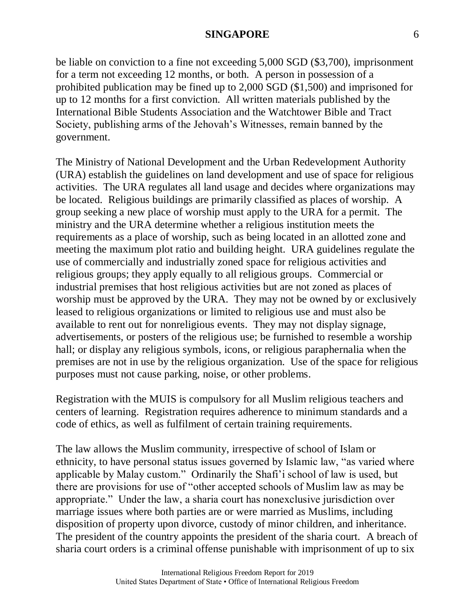be liable on conviction to a fine not exceeding 5,000 SGD (\$3,700), imprisonment for a term not exceeding 12 months, or both. A person in possession of a prohibited publication may be fined up to 2,000 SGD (\$1,500) and imprisoned for up to 12 months for a first conviction. All written materials published by the International Bible Students Association and the Watchtower Bible and Tract Society, publishing arms of the Jehovah's Witnesses, remain banned by the government.

The Ministry of National Development and the Urban Redevelopment Authority (URA) establish the guidelines on land development and use of space for religious activities. The URA regulates all land usage and decides where organizations may be located. Religious buildings are primarily classified as places of worship. A group seeking a new place of worship must apply to the URA for a permit. The ministry and the URA determine whether a religious institution meets the requirements as a place of worship, such as being located in an allotted zone and meeting the maximum plot ratio and building height. URA guidelines regulate the use of commercially and industrially zoned space for religious activities and religious groups; they apply equally to all religious groups. Commercial or industrial premises that host religious activities but are not zoned as places of worship must be approved by the URA. They may not be owned by or exclusively leased to religious organizations or limited to religious use and must also be available to rent out for nonreligious events. They may not display signage, advertisements, or posters of the religious use; be furnished to resemble a worship hall; or display any religious symbols, icons, or religious paraphernalia when the premises are not in use by the religious organization. Use of the space for religious purposes must not cause parking, noise, or other problems.

Registration with the MUIS is compulsory for all Muslim religious teachers and centers of learning. Registration requires adherence to minimum standards and a code of ethics, as well as fulfilment of certain training requirements.

The law allows the Muslim community, irrespective of school of Islam or ethnicity, to have personal status issues governed by Islamic law, "as varied where applicable by Malay custom." Ordinarily the Shafi'i school of law is used, but there are provisions for use of "other accepted schools of Muslim law as may be appropriate." Under the law, a sharia court has nonexclusive jurisdiction over marriage issues where both parties are or were married as Muslims, including disposition of property upon divorce, custody of minor children, and inheritance. The president of the country appoints the president of the sharia court. A breach of sharia court orders is a criminal offense punishable with imprisonment of up to six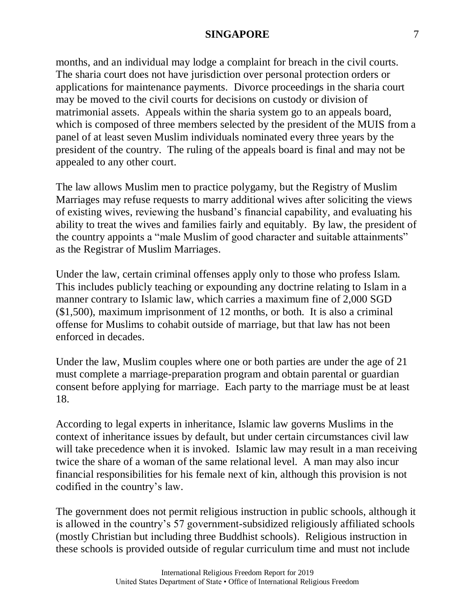months, and an individual may lodge a complaint for breach in the civil courts. The sharia court does not have jurisdiction over personal protection orders or applications for maintenance payments. Divorce proceedings in the sharia court may be moved to the civil courts for decisions on custody or division of matrimonial assets. Appeals within the sharia system go to an appeals board, which is composed of three members selected by the president of the MUIS from a panel of at least seven Muslim individuals nominated every three years by the president of the country. The ruling of the appeals board is final and may not be appealed to any other court.

The law allows Muslim men to practice polygamy, but the Registry of Muslim Marriages may refuse requests to marry additional wives after soliciting the views of existing wives, reviewing the husband's financial capability, and evaluating his ability to treat the wives and families fairly and equitably. By law, the president of the country appoints a "male Muslim of good character and suitable attainments" as the Registrar of Muslim Marriages.

Under the law, certain criminal offenses apply only to those who profess Islam. This includes publicly teaching or expounding any doctrine relating to Islam in a manner contrary to Islamic law, which carries a maximum fine of 2,000 SGD (\$1,500), maximum imprisonment of 12 months, or both. It is also a criminal offense for Muslims to cohabit outside of marriage, but that law has not been enforced in decades.

Under the law, Muslim couples where one or both parties are under the age of 21 must complete a marriage-preparation program and obtain parental or guardian consent before applying for marriage. Each party to the marriage must be at least 18.

According to legal experts in inheritance, Islamic law governs Muslims in the context of inheritance issues by default, but under certain circumstances civil law will take precedence when it is invoked. Islamic law may result in a man receiving twice the share of a woman of the same relational level. A man may also incur financial responsibilities for his female next of kin, although this provision is not codified in the country's law.

The government does not permit religious instruction in public schools, although it is allowed in the country's 57 government-subsidized religiously affiliated schools (mostly Christian but including three Buddhist schools). Religious instruction in these schools is provided outside of regular curriculum time and must not include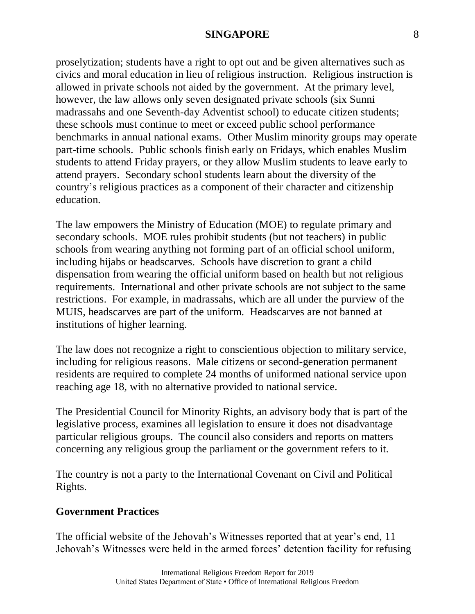proselytization; students have a right to opt out and be given alternatives such as civics and moral education in lieu of religious instruction. Religious instruction is allowed in private schools not aided by the government. At the primary level, however, the law allows only seven designated private schools (six Sunni madrassahs and one Seventh-day Adventist school) to educate citizen students; these schools must continue to meet or exceed public school performance benchmarks in annual national exams. Other Muslim minority groups may operate part-time schools. Public schools finish early on Fridays, which enables Muslim students to attend Friday prayers, or they allow Muslim students to leave early to attend prayers. Secondary school students learn about the diversity of the country's religious practices as a component of their character and citizenship education.

The law empowers the Ministry of Education (MOE) to regulate primary and secondary schools. MOE rules prohibit students (but not teachers) in public schools from wearing anything not forming part of an official school uniform, including hijabs or headscarves. Schools have discretion to grant a child dispensation from wearing the official uniform based on health but not religious requirements. International and other private schools are not subject to the same restrictions. For example, in madrassahs, which are all under the purview of the MUIS, headscarves are part of the uniform. Headscarves are not banned at institutions of higher learning.

The law does not recognize a right to conscientious objection to military service, including for religious reasons. Male citizens or second-generation permanent residents are required to complete 24 months of uniformed national service upon reaching age 18, with no alternative provided to national service.

The Presidential Council for Minority Rights, an advisory body that is part of the legislative process, examines all legislation to ensure it does not disadvantage particular religious groups. The council also considers and reports on matters concerning any religious group the parliament or the government refers to it.

The country is not a party to the International Covenant on Civil and Political Rights.

## **Government Practices**

The official website of the Jehovah's Witnesses reported that at year's end, 11 Jehovah's Witnesses were held in the armed forces' detention facility for refusing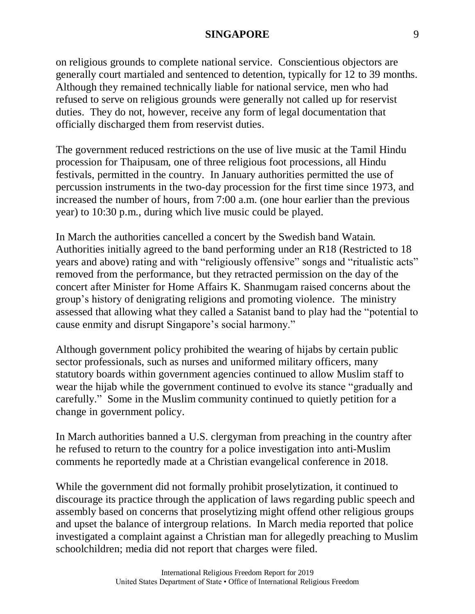on religious grounds to complete national service. Conscientious objectors are generally court martialed and sentenced to detention, typically for 12 to 39 months. Although they remained technically liable for national service, men who had refused to serve on religious grounds were generally not called up for reservist duties. They do not, however, receive any form of legal documentation that officially discharged them from reservist duties.

The government reduced restrictions on the use of live music at the Tamil Hindu procession for Thaipusam, one of three religious foot processions, all Hindu festivals, permitted in the country. In January authorities permitted the use of percussion instruments in the two-day procession for the first time since 1973, and increased the number of hours, from 7:00 a.m. (one hour earlier than the previous year) to 10:30 p.m., during which live music could be played.

In March the authorities cancelled a concert by the Swedish band Watain*.* Authorities initially agreed to the band performing under an R18 (Restricted to 18 years and above) rating and with "religiously offensive" songs and "ritualistic acts" removed from the performance, but they retracted permission on the day of the concert after Minister for Home Affairs K. Shanmugam raised concerns about the group's history of denigrating religions and promoting violence. The ministry assessed that allowing what they called a Satanist band to play had the "potential to cause enmity and disrupt Singapore's social harmony."

Although government policy prohibited the wearing of hijabs by certain public sector professionals, such as nurses and uniformed military officers, many statutory boards within government agencies continued to allow Muslim staff to wear the hijab while the government continued to evolve its stance "gradually and carefully." Some in the Muslim community continued to quietly petition for a change in government policy.

In March authorities banned a U.S. clergyman from preaching in the country after he refused to return to the country for a police investigation into anti-Muslim comments he reportedly made at a Christian evangelical conference in 2018.

While the government did not formally prohibit proselytization, it continued to discourage its practice through the application of laws regarding public speech and assembly based on concerns that proselytizing might offend other religious groups and upset the balance of intergroup relations. In March media reported that police investigated a complaint against a Christian man for allegedly preaching to Muslim schoolchildren; media did not report that charges were filed.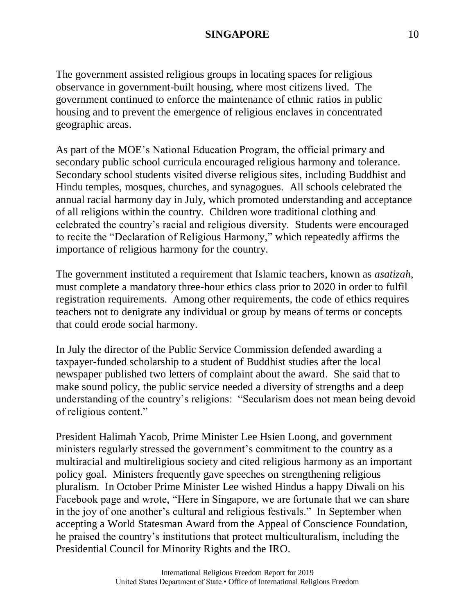The government assisted religious groups in locating spaces for religious observance in government-built housing, where most citizens lived. The government continued to enforce the maintenance of ethnic ratios in public housing and to prevent the emergence of religious enclaves in concentrated geographic areas.

As part of the MOE's National Education Program, the official primary and secondary public school curricula encouraged religious harmony and tolerance. Secondary school students visited diverse religious sites, including Buddhist and Hindu temples, mosques, churches, and synagogues. All schools celebrated the annual racial harmony day in July, which promoted understanding and acceptance of all religions within the country. Children wore traditional clothing and celebrated the country's racial and religious diversity. Students were encouraged to recite the "Declaration of Religious Harmony," which repeatedly affirms the importance of religious harmony for the country.

The government instituted a requirement that Islamic teachers, known as *asatizah*, must complete a mandatory three-hour ethics class prior to 2020 in order to fulfil registration requirements. Among other requirements, the code of ethics requires teachers not to denigrate any individual or group by means of terms or concepts that could erode social harmony.

In July the director of the Public Service Commission defended awarding a taxpayer-funded scholarship to a student of Buddhist studies after the local newspaper published two letters of complaint about the award. She said that to make sound policy, the public service needed a diversity of strengths and a deep understanding of the country's religions: "Secularism does not mean being devoid of religious content."

President Halimah Yacob, Prime Minister Lee Hsien Loong, and government ministers regularly stressed the government's commitment to the country as a multiracial and multireligious society and cited religious harmony as an important policy goal. Ministers frequently gave speeches on strengthening religious pluralism. In October Prime Minister Lee wished Hindus a happy Diwali on his Facebook page and wrote, "Here in Singapore, we are fortunate that we can share in the joy of one another's cultural and religious festivals." In September when accepting a World Statesman Award from the Appeal of Conscience Foundation, he praised the country's institutions that protect multiculturalism, including the Presidential Council for Minority Rights and the IRO.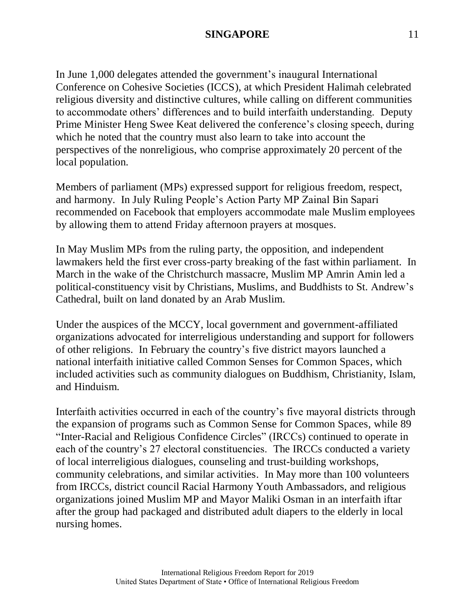In June 1,000 delegates attended the government's inaugural International Conference on Cohesive Societies (ICCS), at which President Halimah celebrated religious diversity and distinctive cultures, while calling on different communities to accommodate others' differences and to build interfaith understanding. Deputy Prime Minister Heng Swee Keat delivered the conference's closing speech, during which he noted that the country must also learn to take into account the perspectives of the nonreligious, who comprise approximately 20 percent of the local population.

Members of parliament (MPs) expressed support for religious freedom, respect, and harmony. In July Ruling People's Action Party MP Zainal Bin Sapari recommended on Facebook that employers accommodate male Muslim employees by allowing them to attend Friday afternoon prayers at mosques.

In May Muslim MPs from the ruling party, the opposition, and independent lawmakers held the first ever cross-party breaking of the fast within parliament. In March in the wake of the Christchurch massacre, Muslim MP Amrin Amin led a political-constituency visit by Christians, Muslims, and Buddhists to St. Andrew's Cathedral, built on land donated by an Arab Muslim.

Under the auspices of the MCCY, local government and government-affiliated organizations advocated for interreligious understanding and support for followers of other religions. In February the country's five district mayors launched a national interfaith initiative called Common Senses for Common Spaces, which included activities such as community dialogues on Buddhism, Christianity, Islam, and Hinduism.

Interfaith activities occurred in each of the country's five mayoral districts through the expansion of programs such as Common Sense for Common Spaces, while 89 "Inter-Racial and Religious Confidence Circles" (IRCCs) continued to operate in each of the country's 27 electoral constituencies. The IRCCs conducted a variety of local interreligious dialogues, counseling and trust-building workshops, community celebrations, and similar activities. In May more than 100 volunteers from IRCCs, district council Racial Harmony Youth Ambassadors, and religious organizations joined Muslim MP and Mayor Maliki Osman in an interfaith iftar after the group had packaged and distributed adult diapers to the elderly in local nursing homes.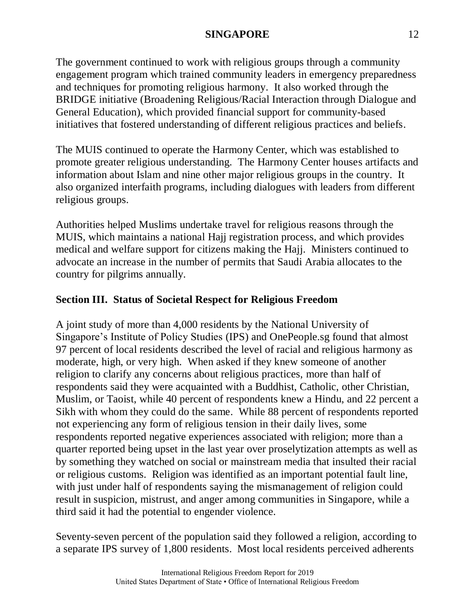The government continued to work with religious groups through a community engagement program which trained community leaders in emergency preparedness and techniques for promoting religious harmony. It also worked through the BRIDGE initiative (Broadening Religious/Racial Interaction through Dialogue and General Education), which provided financial support for community-based initiatives that fostered understanding of different religious practices and beliefs.

The MUIS continued to operate the Harmony Center, which was established to promote greater religious understanding. The Harmony Center houses artifacts and information about Islam and nine other major religious groups in the country. It also organized interfaith programs, including dialogues with leaders from different religious groups.

Authorities helped Muslims undertake travel for religious reasons through the MUIS, which maintains a national Hajj registration process, and which provides medical and welfare support for citizens making the Hajj. Ministers continued to advocate an increase in the number of permits that Saudi Arabia allocates to the country for pilgrims annually.

# **Section III. Status of Societal Respect for Religious Freedom**

A joint study of more than 4,000 residents by the National University of Singapore's Institute of Policy Studies (IPS) and OnePeople.sg found that almost 97 percent of local residents described the level of racial and religious harmony as moderate, high, or very high. When asked if they knew someone of another religion to clarify any concerns about religious practices, more than half of respondents said they were acquainted with a Buddhist, Catholic, other Christian, Muslim, or Taoist, while 40 percent of respondents knew a Hindu, and 22 percent a Sikh with whom they could do the same. While 88 percent of respondents reported not experiencing any form of religious tension in their daily lives, some respondents reported negative experiences associated with religion; more than a quarter reported being upset in the last year over proselytization attempts as well as by something they watched on social or mainstream media that insulted their racial or religious customs. Religion was identified as an important potential fault line, with just under half of respondents saying the mismanagement of religion could result in suspicion, mistrust, and anger among communities in Singapore, while a third said it had the potential to engender violence.

Seventy-seven percent of the population said they followed a religion, according to a separate IPS survey of 1,800 residents. Most local residents perceived adherents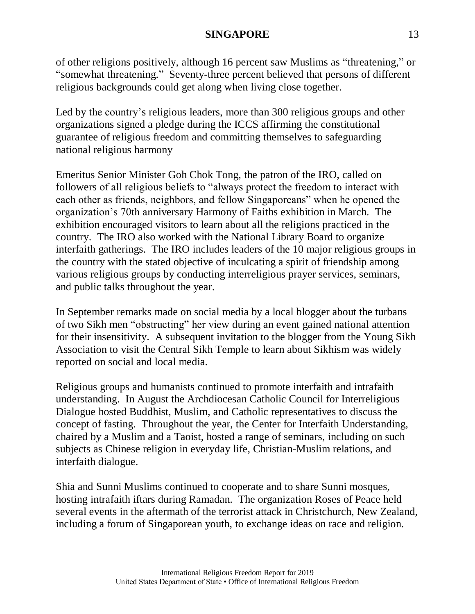of other religions positively, although 16 percent saw Muslims as "threatening," or "somewhat threatening." Seventy-three percent believed that persons of different religious backgrounds could get along when living close together.

Led by the country's religious leaders, more than 300 religious groups and other organizations signed a pledge during the ICCS affirming the constitutional guarantee of religious freedom and committing themselves to safeguarding national religious harmony

Emeritus Senior Minister Goh Chok Tong, the patron of the IRO, called on followers of all religious beliefs to "always protect the freedom to interact with each other as friends, neighbors, and fellow Singaporeans" when he opened the organization's 70th anniversary Harmony of Faiths exhibition in March. The exhibition encouraged visitors to learn about all the religions practiced in the country. The IRO also worked with the National Library Board to organize interfaith gatherings. The IRO includes leaders of the 10 major religious groups in the country with the stated objective of inculcating a spirit of friendship among various religious groups by conducting interreligious prayer services, seminars, and public talks throughout the year.

In September remarks made on social media by a local blogger about the turbans of two Sikh men "obstructing" her view during an event gained national attention for their insensitivity. A subsequent invitation to the blogger from the Young Sikh Association to visit the Central Sikh Temple to learn about Sikhism was widely reported on social and local media.

Religious groups and humanists continued to promote interfaith and intrafaith understanding. In August the Archdiocesan Catholic Council for Interreligious Dialogue hosted Buddhist, Muslim, and Catholic representatives to discuss the concept of fasting. Throughout the year, the Center for Interfaith Understanding, chaired by a Muslim and a Taoist, hosted a range of seminars, including on such subjects as Chinese religion in everyday life, Christian-Muslim relations, and interfaith dialogue.

Shia and Sunni Muslims continued to cooperate and to share Sunni mosques, hosting intrafaith iftars during Ramadan. The organization Roses of Peace held several events in the aftermath of the terrorist attack in Christchurch, New Zealand, including a forum of Singaporean youth, to exchange ideas on race and religion.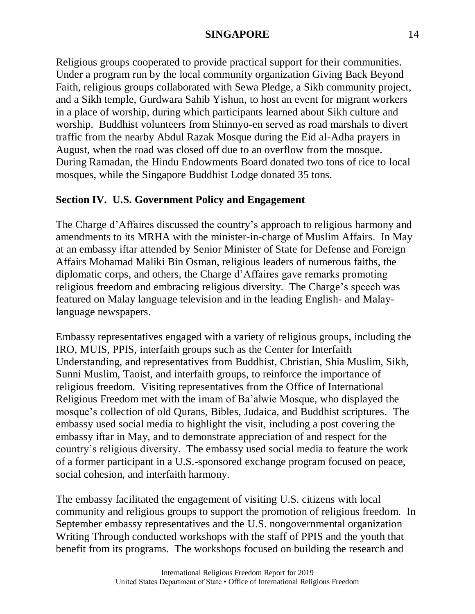Religious groups cooperated to provide practical support for their communities. Under a program run by the local community organization Giving Back Beyond Faith, religious groups collaborated with Sewa Pledge, a Sikh community project, and a Sikh temple, Gurdwara Sahib Yishun, to host an event for migrant workers in a place of worship, during which participants learned about Sikh culture and worship. Buddhist volunteers from Shinnyo-en served as road marshals to divert traffic from the nearby Abdul Razak Mosque during the Eid al-Adha prayers in August, when the road was closed off due to an overflow from the mosque. During Ramadan, the Hindu Endowments Board donated two tons of rice to local mosques, while the Singapore Buddhist Lodge donated 35 tons.

# **Section IV. U.S. Government Policy and Engagement**

The Charge d'Affaires discussed the country's approach to religious harmony and amendments to its MRHA with the minister-in-charge of Muslim Affairs. In May at an embassy iftar attended by Senior Minister of State for Defense and Foreign Affairs Mohamad Maliki Bin Osman, religious leaders of numerous faiths, the diplomatic corps, and others, the Charge d'Affaires gave remarks promoting religious freedom and embracing religious diversity. The Charge's speech was featured on Malay language television and in the leading English- and Malaylanguage newspapers.

Embassy representatives engaged with a variety of religious groups, including the IRO, MUIS, PPIS, interfaith groups such as the Center for Interfaith Understanding, and representatives from Buddhist, Christian, Shia Muslim, Sikh, Sunni Muslim, Taoist, and interfaith groups, to reinforce the importance of religious freedom. Visiting representatives from the Office of International Religious Freedom met with the imam of Ba'alwie Mosque, who displayed the mosque's collection of old Qurans, Bibles, Judaica, and Buddhist scriptures. The embassy used social media to highlight the visit, including a post covering the embassy iftar in May, and to demonstrate appreciation of and respect for the country's religious diversity. The embassy used social media to feature the work of a former participant in a U.S.-sponsored exchange program focused on peace, social cohesion, and interfaith harmony.

The embassy facilitated the engagement of visiting U.S. citizens with local community and religious groups to support the promotion of religious freedom. In September embassy representatives and the U.S. nongovernmental organization Writing Through conducted workshops with the staff of PPIS and the youth that benefit from its programs. The workshops focused on building the research and